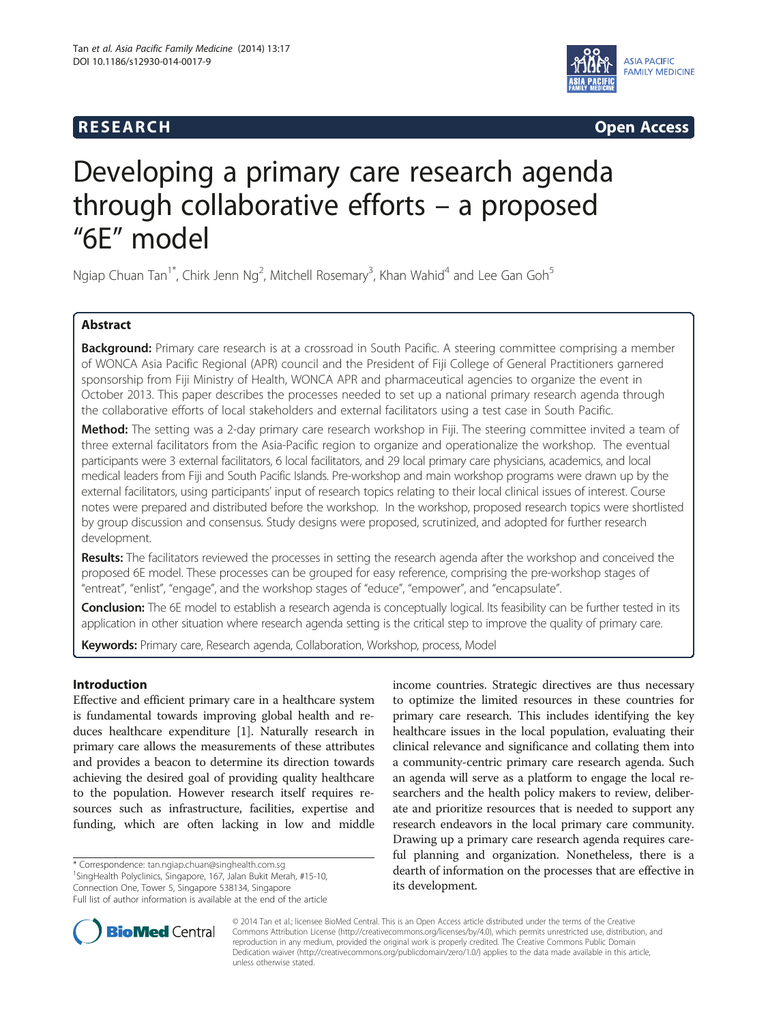# **RESEARCH CHINESEARCH CHINESEARCH CHINESE**



# Developing a primary care research agenda through collaborative efforts – a proposed "6E" model

Ngiap Chuan Tan<sup>1\*</sup>, Chirk Jenn Ng<sup>2</sup>, Mitchell Rosemary<sup>3</sup>, Khan Wahid<sup>4</sup> and Lee Gan Goh<sup>5</sup>

# Abstract

Background: Primary care research is at a crossroad in South Pacific. A steering committee comprising a member of WONCA Asia Pacific Regional (APR) council and the President of Fiji College of General Practitioners garnered sponsorship from Fiji Ministry of Health, WONCA APR and pharmaceutical agencies to organize the event in October 2013. This paper describes the processes needed to set up a national primary research agenda through the collaborative efforts of local stakeholders and external facilitators using a test case in South Pacific.

Method: The setting was a 2-day primary care research workshop in Fiji. The steering committee invited a team of three external facilitators from the Asia-Pacific region to organize and operationalize the workshop. The eventual participants were 3 external facilitators, 6 local facilitators, and 29 local primary care physicians, academics, and local medical leaders from Fiji and South Pacific Islands. Pre-workshop and main workshop programs were drawn up by the external facilitators, using participants' input of research topics relating to their local clinical issues of interest. Course notes were prepared and distributed before the workshop. In the workshop, proposed research topics were shortlisted by group discussion and consensus. Study designs were proposed, scrutinized, and adopted for further research development.

Results: The facilitators reviewed the processes in setting the research agenda after the workshop and conceived the proposed 6E model. These processes can be grouped for easy reference, comprising the pre-workshop stages of "entreat", "enlist", "engage", and the workshop stages of "educe", "empower", and "encapsulate".

Conclusion: The 6E model to establish a research agenda is conceptually logical. Its feasibility can be further tested in its application in other situation where research agenda setting is the critical step to improve the quality of primary care.

Keywords: Primary care, Research agenda, Collaboration, Workshop, process, Model

## Introduction

Effective and efficient primary care in a healthcare system is fundamental towards improving global health and reduces healthcare expenditure [[1](#page-5-0)]. Naturally research in primary care allows the measurements of these attributes and provides a beacon to determine its direction towards achieving the desired goal of providing quality healthcare to the population. However research itself requires resources such as infrastructure, facilities, expertise and funding, which are often lacking in low and middle

\* Correspondence: [tan.ngiap.chuan@singhealth.com.sg](mailto:tan.ngiap.chuan@singhealth.com.sg) <sup>1</sup>

<sup>1</sup>SingHealth Polyclinics, Singapore, 167, Jalan Bukit Merah, #15-10, Connection One, Tower 5, Singapore 538134, Singapore Full list of author information is available at the end of the article income countries. Strategic directives are thus necessary to optimize the limited resources in these countries for primary care research. This includes identifying the key healthcare issues in the local population, evaluating their clinical relevance and significance and collating them into a community-centric primary care research agenda. Such an agenda will serve as a platform to engage the local researchers and the health policy makers to review, deliberate and prioritize resources that is needed to support any research endeavors in the local primary care community. Drawing up a primary care research agenda requires careful planning and organization. Nonetheless, there is a dearth of information on the processes that are effective in its development.



© 2014 Tan et al.; licensee BioMed Central. This is an Open Access article distributed under the terms of the Creative Commons Attribution License [\(http://creativecommons.org/licenses/by/4.0\)](http://creativecommons.org/licenses/by/4.0), which permits unrestricted use, distribution, and reproduction in any medium, provided the original work is properly credited. The Creative Commons Public Domain Dedication waiver [\(http://creativecommons.org/publicdomain/zero/1.0/](http://creativecommons.org/publicdomain/zero/1.0/)) applies to the data made available in this article, unless otherwise stated.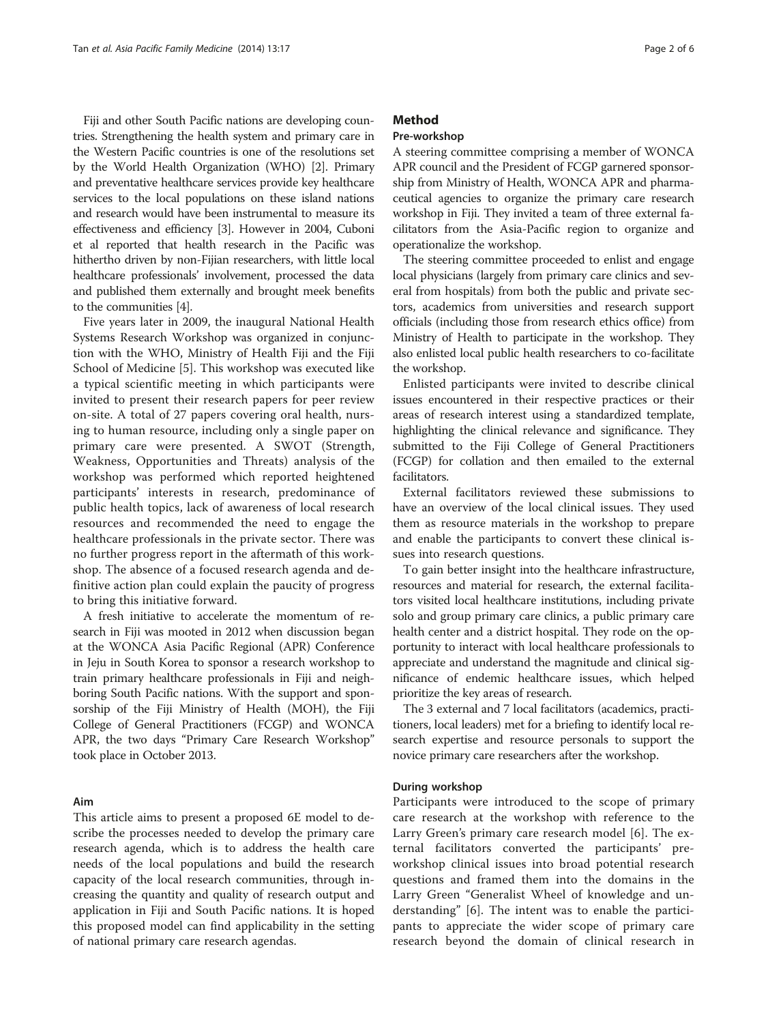Fiji and other South Pacific nations are developing countries. Strengthening the health system and primary care in the Western Pacific countries is one of the resolutions set by the World Health Organization (WHO) [[2](#page-5-0)]. Primary and preventative healthcare services provide key healthcare services to the local populations on these island nations and research would have been instrumental to measure its effectiveness and efficiency [[3](#page-5-0)]. However in 2004, Cuboni et al reported that health research in the Pacific was hithertho driven by non-Fijian researchers, with little local healthcare professionals' involvement, processed the data and published them externally and brought meek benefits to the communities [[4](#page-5-0)].

Five years later in 2009, the inaugural National Health Systems Research Workshop was organized in conjunction with the WHO, Ministry of Health Fiji and the Fiji School of Medicine [\[5\]](#page-5-0). This workshop was executed like a typical scientific meeting in which participants were invited to present their research papers for peer review on-site. A total of 27 papers covering oral health, nursing to human resource, including only a single paper on primary care were presented. A SWOT (Strength, Weakness, Opportunities and Threats) analysis of the workshop was performed which reported heightened participants' interests in research, predominance of public health topics, lack of awareness of local research resources and recommended the need to engage the healthcare professionals in the private sector. There was no further progress report in the aftermath of this workshop. The absence of a focused research agenda and definitive action plan could explain the paucity of progress to bring this initiative forward.

A fresh initiative to accelerate the momentum of research in Fiji was mooted in 2012 when discussion began at the WONCA Asia Pacific Regional (APR) Conference in Jeju in South Korea to sponsor a research workshop to train primary healthcare professionals in Fiji and neighboring South Pacific nations. With the support and sponsorship of the Fiji Ministry of Health (MOH), the Fiji College of General Practitioners (FCGP) and WONCA APR, the two days "Primary Care Research Workshop" took place in October 2013.

#### Aim

This article aims to present a proposed 6E model to describe the processes needed to develop the primary care research agenda, which is to address the health care needs of the local populations and build the research capacity of the local research communities, through increasing the quantity and quality of research output and application in Fiji and South Pacific nations. It is hoped this proposed model can find applicability in the setting of national primary care research agendas.

### Method

#### Pre-workshop

A steering committee comprising a member of WONCA APR council and the President of FCGP garnered sponsorship from Ministry of Health, WONCA APR and pharmaceutical agencies to organize the primary care research workshop in Fiji. They invited a team of three external facilitators from the Asia-Pacific region to organize and operationalize the workshop.

The steering committee proceeded to enlist and engage local physicians (largely from primary care clinics and several from hospitals) from both the public and private sectors, academics from universities and research support officials (including those from research ethics office) from Ministry of Health to participate in the workshop. They also enlisted local public health researchers to co-facilitate the workshop.

Enlisted participants were invited to describe clinical issues encountered in their respective practices or their areas of research interest using a standardized template, highlighting the clinical relevance and significance. They submitted to the Fiji College of General Practitioners (FCGP) for collation and then emailed to the external facilitators.

External facilitators reviewed these submissions to have an overview of the local clinical issues. They used them as resource materials in the workshop to prepare and enable the participants to convert these clinical issues into research questions.

To gain better insight into the healthcare infrastructure, resources and material for research, the external facilitators visited local healthcare institutions, including private solo and group primary care clinics, a public primary care health center and a district hospital. They rode on the opportunity to interact with local healthcare professionals to appreciate and understand the magnitude and clinical significance of endemic healthcare issues, which helped prioritize the key areas of research.

The 3 external and 7 local facilitators (academics, practitioners, local leaders) met for a briefing to identify local research expertise and resource personals to support the novice primary care researchers after the workshop.

#### During workshop

Participants were introduced to the scope of primary care research at the workshop with reference to the Larry Green's primary care research model [[6](#page-5-0)]. The external facilitators converted the participants' preworkshop clinical issues into broad potential research questions and framed them into the domains in the Larry Green "Generalist Wheel of knowledge and understanding" [[6\]](#page-5-0). The intent was to enable the participants to appreciate the wider scope of primary care research beyond the domain of clinical research in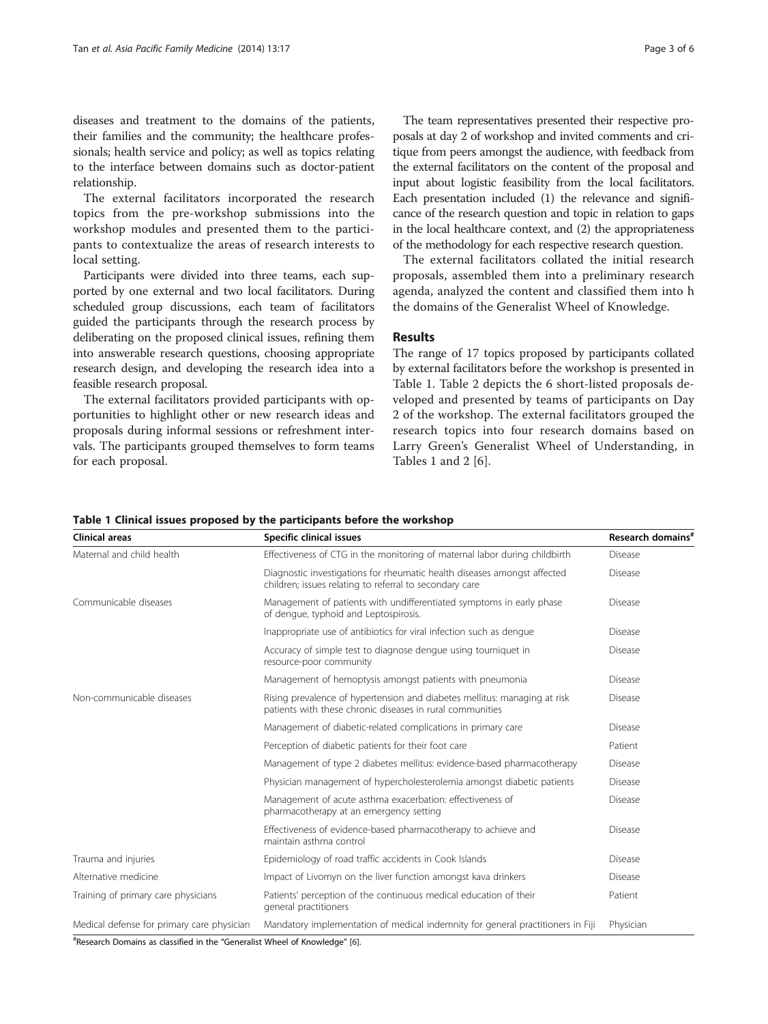<span id="page-2-0"></span>diseases and treatment to the domains of the patients, their families and the community; the healthcare professionals; health service and policy; as well as topics relating to the interface between domains such as doctor-patient relationship.

The external facilitators incorporated the research topics from the pre-workshop submissions into the workshop modules and presented them to the participants to contextualize the areas of research interests to local setting.

Participants were divided into three teams, each supported by one external and two local facilitators. During scheduled group discussions, each team of facilitators guided the participants through the research process by deliberating on the proposed clinical issues, refining them into answerable research questions, choosing appropriate research design, and developing the research idea into a feasible research proposal.

The external facilitators provided participants with opportunities to highlight other or new research ideas and proposals during informal sessions or refreshment intervals. The participants grouped themselves to form teams for each proposal.

The team representatives presented their respective proposals at day 2 of workshop and invited comments and critique from peers amongst the audience, with feedback from the external facilitators on the content of the proposal and input about logistic feasibility from the local facilitators. Each presentation included (1) the relevance and significance of the research question and topic in relation to gaps in the local healthcare context, and (2) the appropriateness of the methodology for each respective research question.

The external facilitators collated the initial research proposals, assembled them into a preliminary research agenda, analyzed the content and classified them into h the domains of the Generalist Wheel of Knowledge.

#### Results

The range of 17 topics proposed by participants collated by external facilitators before the workshop is presented in Table 1. Table [2](#page-3-0) depicts the 6 short-listed proposals developed and presented by teams of participants on Day 2 of the workshop. The external facilitators grouped the research topics into four research domains based on Larry Green's Generalist Wheel of Understanding, in Tables 1 and [2](#page-3-0) [\[6](#page-5-0)].

| Clinical areas                             | Specific clinical issues                                                                                                               | Research domains <sup>#</sup> |
|--------------------------------------------|----------------------------------------------------------------------------------------------------------------------------------------|-------------------------------|
| Maternal and child health                  | Effectiveness of CTG in the monitoring of maternal labor during childbirth                                                             | Disease                       |
|                                            | Diagnostic investigations for rheumatic health diseases amongst affected<br>children; issues relating to referral to secondary care    | <b>Disease</b>                |
| Communicable diseases                      | Management of patients with undifferentiated symptoms in early phase<br>of dengue, typhoid and Leptospirosis.                          | <b>Disease</b>                |
|                                            | Inappropriate use of antibiotics for viral infection such as dengue                                                                    | Disease                       |
|                                            | Accuracy of simple test to diagnose dengue using tourniquet in<br>resource-poor community                                              | <b>Disease</b>                |
|                                            | Management of hemoptysis amongst patients with pneumonia                                                                               | <b>Disease</b>                |
| Non-communicable diseases                  | Rising prevalence of hypertension and diabetes mellitus: managing at risk<br>patients with these chronic diseases in rural communities | <b>Disease</b>                |
|                                            | Management of diabetic-related complications in primary care                                                                           | <b>Disease</b>                |
|                                            | Perception of diabetic patients for their foot care                                                                                    | Patient                       |
|                                            | Management of type 2 diabetes mellitus: evidence-based pharmacotherapy                                                                 | <b>Disease</b>                |
|                                            | Physician management of hypercholesterolemia amongst diabetic patients                                                                 | <b>Disease</b>                |
|                                            | Management of acute asthma exacerbation: effectiveness of<br>pharmacotherapy at an emergency setting                                   | <b>Disease</b>                |
|                                            | Effectiveness of evidence-based pharmacotherapy to achieve and<br>maintain asthma control                                              | <b>Disease</b>                |
| Trauma and injuries                        | Epidemiology of road traffic accidents in Cook Islands                                                                                 | <b>Disease</b>                |
| Alternative medicine                       | Impact of Livomyn on the liver function amongst kava drinkers                                                                          | <b>Disease</b>                |
| Training of primary care physicians        | Patients' perception of the continuous medical education of their<br>general practitioners                                             | Patient                       |
| Medical defense for primary care physician | Mandatory implementation of medical indemnity for general practitioners in Fiji                                                        | Physician                     |

# Research Domains as classified in the "Generalist Wheel of Knowledge" [\[6\]](#page-5-0).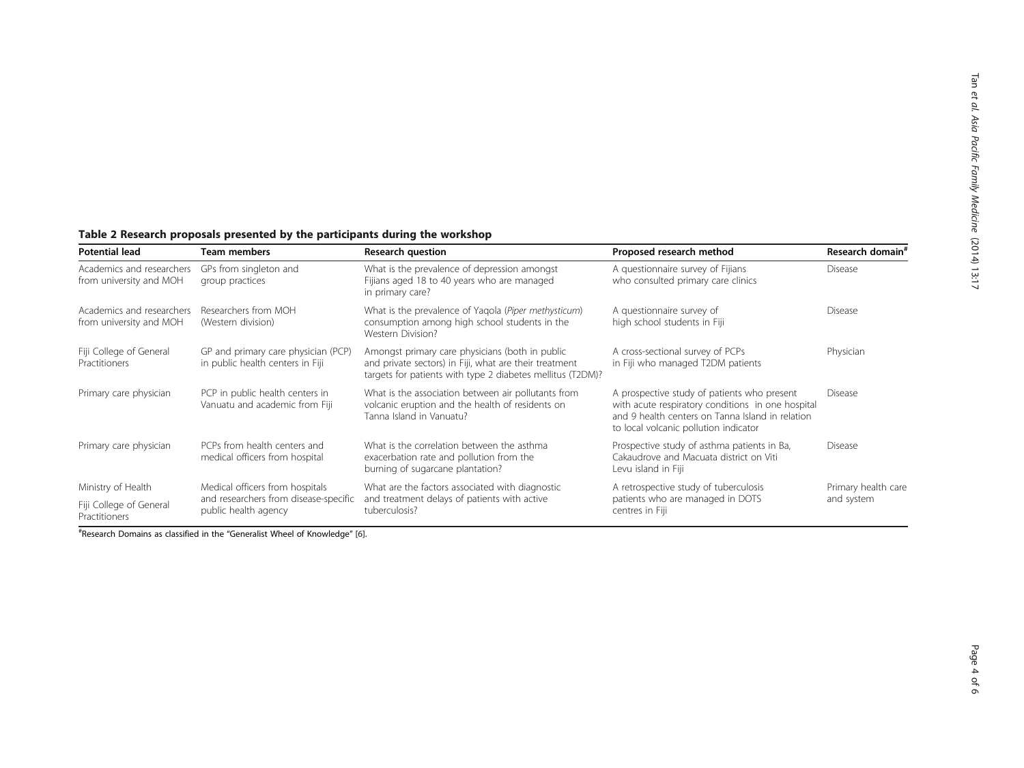# <span id="page-3-0"></span>Table 2 Research proposals presented by the participants during the workshop

| <b>Potential lead</b>                                | Team members                                                            | <b>Research question</b>                                                                                                                                                                                                                    | Proposed research method                                                                                                                                                                      | Research domain <sup>#</sup>      |
|------------------------------------------------------|-------------------------------------------------------------------------|---------------------------------------------------------------------------------------------------------------------------------------------------------------------------------------------------------------------------------------------|-----------------------------------------------------------------------------------------------------------------------------------------------------------------------------------------------|-----------------------------------|
| Academics and researchers<br>from university and MOH | GPs from singleton and<br>group practices                               | What is the prevalence of depression amongst<br>Fijians aged 18 to 40 years who are managed<br>in primary care?                                                                                                                             | A questionnaire survey of Fijians<br>who consulted primary care clinics                                                                                                                       | <b>Disease</b>                    |
| Academics and researchers<br>from university and MOH | Researchers from MOH<br>(Western division)                              | What is the prevalence of Yagola (Piper methysticum)<br>consumption among high school students in the<br>Western Division?                                                                                                                  | A questionnaire survey of<br>high school students in Fiji                                                                                                                                     |                                   |
| Fiji College of General<br>Practitioners             | GP and primary care physician (PCP)<br>in public health centers in Fiji | Amongst primary care physicians (both in public<br>and private sectors) in Fiji, what are their treatment<br>targets for patients with type 2 diabetes mellitus (T2DM)?                                                                     | A cross-sectional survey of PCPs<br>in Fiji who managed T2DM patients                                                                                                                         | Physician                         |
| Primary care physician                               | PCP in public health centers in<br>Vanuatu and academic from Fiji       | What is the association between air pollutants from<br>volcanic eruption and the health of residents on<br>Tanna Island in Vanuatu?                                                                                                         | A prospective study of patients who present<br>with acute respiratory conditions in one hospital<br>and 9 health centers on Tanna Island in relation<br>to local volcanic pollution indicator | <b>Disease</b>                    |
| Primary care physician                               | PCPs from health centers and<br>medical officers from hospital          | What is the correlation between the asthma<br>Prospective study of asthma patients in Ba,<br>Cakaudrove and Macuata district on Viti<br>exacerbation rate and pollution from the<br>burning of sugarcane plantation?<br>Levu island in Fiji |                                                                                                                                                                                               | <b>Disease</b>                    |
| Ministry of Health                                   | Medical officers from hospitals                                         | What are the factors associated with diagnostic                                                                                                                                                                                             | A retrospective study of tuberculosis                                                                                                                                                         | Primary health care<br>and system |
| Fiji College of General<br>Practitioners             | and researchers from disease-specific<br>public health agency           | and treatment delays of patients with active<br>tuberculosis?                                                                                                                                                                               | patients who are managed in DOTS<br>centres in Fiji                                                                                                                                           |                                   |

# Research Domains as classified in the "Generalist Wheel of Knowledge" [[6](#page-5-0)].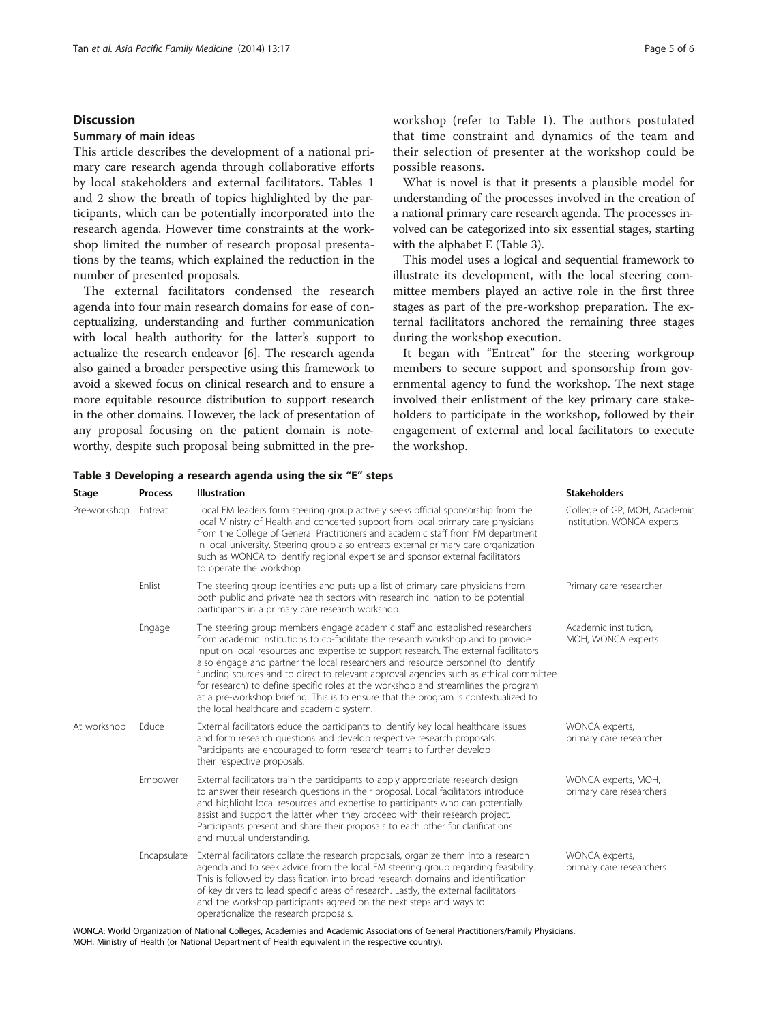#### Discussion

#### Summary of main ideas

This article describes the development of a national primary care research agenda through collaborative efforts by local stakeholders and external facilitators. Tables [1](#page-2-0) and [2](#page-3-0) show the breath of topics highlighted by the participants, which can be potentially incorporated into the research agenda. However time constraints at the workshop limited the number of research proposal presentations by the teams, which explained the reduction in the number of presented proposals.

The external facilitators condensed the research agenda into four main research domains for ease of conceptualizing, understanding and further communication with local health authority for the latter's support to actualize the research endeavor [[6\]](#page-5-0). The research agenda also gained a broader perspective using this framework to avoid a skewed focus on clinical research and to ensure a more equitable resource distribution to support research in the other domains. However, the lack of presentation of any proposal focusing on the patient domain is noteworthy, despite such proposal being submitted in the preworkshop (refer to Table [1\)](#page-2-0). The authors postulated that time constraint and dynamics of the team and their selection of presenter at the workshop could be possible reasons.

What is novel is that it presents a plausible model for understanding of the processes involved in the creation of a national primary care research agenda. The processes involved can be categorized into six essential stages, starting with the alphabet E (Table 3).

This model uses a logical and sequential framework to illustrate its development, with the local steering committee members played an active role in the first three stages as part of the pre-workshop preparation. The external facilitators anchored the remaining three stages during the workshop execution.

It began with "Entreat" for the steering workgroup members to secure support and sponsorship from governmental agency to fund the workshop. The next stage involved their enlistment of the key primary care stakeholders to participate in the workshop, followed by their engagement of external and local facilitators to execute the workshop.

| Stage                           | <b>Process</b>                                                                                                                                                                                                                                                         | <b>Illustration</b>                                                                                                                                                                                                                                                                                                                                                                                                                                                                                                                                                                                                                                               | <b>Stakeholders</b>                                        |
|---------------------------------|------------------------------------------------------------------------------------------------------------------------------------------------------------------------------------------------------------------------------------------------------------------------|-------------------------------------------------------------------------------------------------------------------------------------------------------------------------------------------------------------------------------------------------------------------------------------------------------------------------------------------------------------------------------------------------------------------------------------------------------------------------------------------------------------------------------------------------------------------------------------------------------------------------------------------------------------------|------------------------------------------------------------|
| Pre-workshop                    | Entreat                                                                                                                                                                                                                                                                | Local FM leaders form steering group actively seeks official sponsorship from the<br>local Ministry of Health and concerted support from local primary care physicians<br>from the College of General Practitioners and academic staff from FM department<br>in local university. Steering group also entreats external primary care organization<br>such as WONCA to identify regional expertise and sponsor external facilitators<br>to operate the workshop.                                                                                                                                                                                                   | College of GP, MOH, Academic<br>institution, WONCA experts |
| Enlist<br>Engage                |                                                                                                                                                                                                                                                                        | The steering group identifies and puts up a list of primary care physicians from<br>both public and private health sectors with research inclination to be potential<br>participants in a primary care research workshop.                                                                                                                                                                                                                                                                                                                                                                                                                                         | Primary care researcher                                    |
|                                 |                                                                                                                                                                                                                                                                        | The steering group members engage academic staff and established researchers<br>from academic institutions to co-facilitate the research workshop and to provide<br>input on local resources and expertise to support research. The external facilitators<br>also engage and partner the local researchers and resource personnel (to identify<br>funding sources and to direct to relevant approval agencies such as ethical committee<br>for research) to define specific roles at the workshop and streamlines the program<br>at a pre-workshop briefing. This is to ensure that the program is contextualized to<br>the local healthcare and academic system. | Academic institution,<br>MOH, WONCA experts                |
| At workshop<br>Educe<br>Empower | External facilitators educe the participants to identify key local healthcare issues<br>and form research questions and develop respective research proposals.<br>Participants are encouraged to form research teams to further develop<br>their respective proposals. | WONCA experts,<br>primary care researcher                                                                                                                                                                                                                                                                                                                                                                                                                                                                                                                                                                                                                         |                                                            |
|                                 |                                                                                                                                                                                                                                                                        | External facilitators train the participants to apply appropriate research design<br>to answer their research questions in their proposal. Local facilitators introduce<br>and highlight local resources and expertise to participants who can potentially<br>assist and support the latter when they proceed with their research project.<br>Participants present and share their proposals to each other for clarifications<br>and mutual understanding.                                                                                                                                                                                                        | WONCA experts, MOH,<br>primary care researchers            |
|                                 | Encapsulate                                                                                                                                                                                                                                                            | External facilitators collate the research proposals, organize them into a research<br>agenda and to seek advice from the local FM steering group regarding feasibility.<br>This is followed by classification into broad research domains and identification<br>of key drivers to lead specific areas of research. Lastly, the external facilitators<br>and the workshop participants agreed on the next steps and ways to<br>operationalize the research proposals.                                                                                                                                                                                             | WONCA experts,<br>primary care researchers                 |

Table 3 Developing a research agenda using the six "E" steps

WONCA: World Organization of National Colleges, Academies and Academic Associations of General Practitioners/Family Physicians. MOH: Ministry of Health (or National Department of Health equivalent in the respective country).